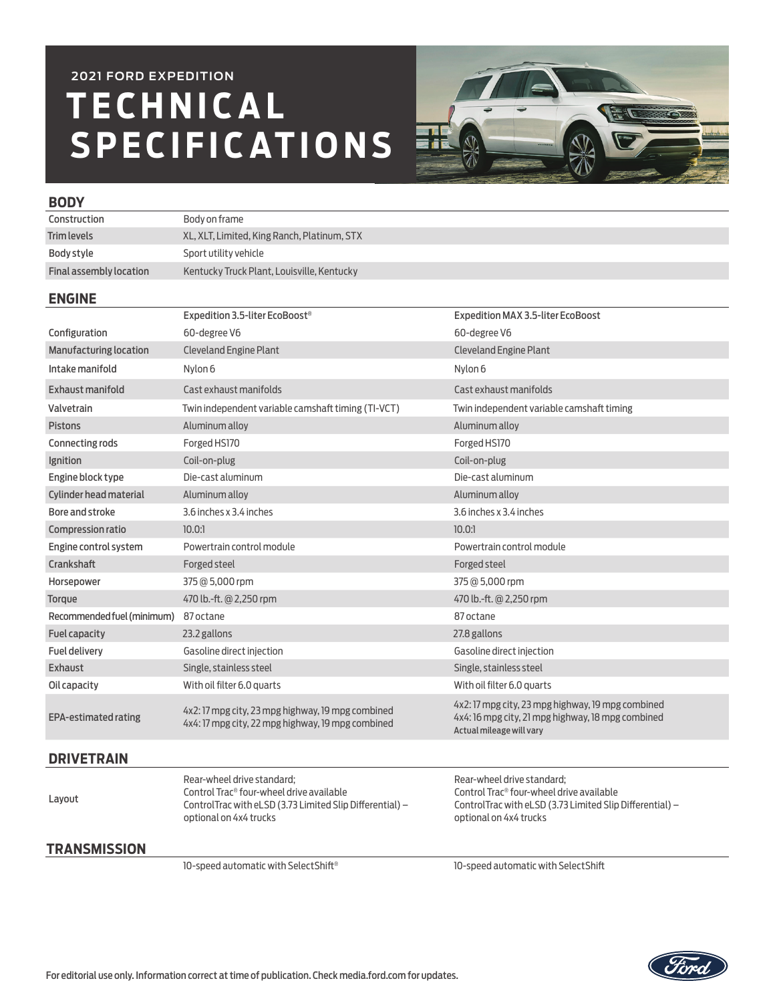# **T E C H N I C A L SPECIFICATIONS 2021 FORD EXPEDITION**



### **BODY**

| Construction            | Body on frame                               |
|-------------------------|---------------------------------------------|
| <b>Trim levels</b>      | XL, XLT, Limited, King Ranch, Platinum, STX |
| Body style              | Sport utility vehicle                       |
| Final assembly location | Kentucky Truck Plant, Louisville, Kentucky  |

#### **ENGINE**

|                               | Expedition 3.5-liter EcoBoost <sup>®</sup>                                                             | Expedition MAX 3.5-liter EcoBoost                                                                                                  |
|-------------------------------|--------------------------------------------------------------------------------------------------------|------------------------------------------------------------------------------------------------------------------------------------|
| Configuration                 | 60-degree V6                                                                                           | 60-degree V6                                                                                                                       |
| <b>Manufacturing location</b> | <b>Cleveland Engine Plant</b>                                                                          | Cleveland Engine Plant                                                                                                             |
| Intake manifold               | Nylon 6                                                                                                | Nylon 6                                                                                                                            |
| Exhaust manifold              | Cast exhaust manifolds                                                                                 | Cast exhaust manifolds                                                                                                             |
| Valvetrain                    | Twin independent variable camshaft timing (TI-VCT)                                                     | Twin independent variable camshaft timing                                                                                          |
| <b>Pistons</b>                | Aluminum alloy                                                                                         | Aluminum alloy                                                                                                                     |
| Connecting rods               | Forged HS170                                                                                           | Forged HS170                                                                                                                       |
| Ignition                      | Coil-on-plug                                                                                           | Coil-on-plug                                                                                                                       |
| Engine block type             | Die-cast aluminum                                                                                      | Die-cast aluminum                                                                                                                  |
| Cylinder head material        | Aluminum alloy                                                                                         | Aluminum alloy                                                                                                                     |
| Bore and stroke               | 3.6 inches x 3.4 inches                                                                                | 3.6 inches x 3.4 inches                                                                                                            |
| Compression ratio             | 10.0:1                                                                                                 | 10.0:1                                                                                                                             |
| Engine control system         | Powertrain control module                                                                              | Powertrain control module                                                                                                          |
| Crankshaft                    | Forged steel                                                                                           | Forged steel                                                                                                                       |
| Horsepower                    | 375 @ 5,000 rpm                                                                                        | 375 @ 5,000 rpm                                                                                                                    |
| Torque                        | 470 lb.-ft. @ 2,250 rpm                                                                                | 470 lb.-ft. @ 2,250 rpm                                                                                                            |
| Recommended fuel (minimum)    | 87 octane                                                                                              | 87 octane                                                                                                                          |
| <b>Fuel capacity</b>          | 23.2 gallons                                                                                           | 27.8 gallons                                                                                                                       |
| Fuel delivery                 | Gasoline direct injection                                                                              | Gasoline direct injection                                                                                                          |
| Exhaust                       | Single, stainless steel                                                                                | Single, stainless steel                                                                                                            |
| Oil capacity                  | With oil filter 6.0 quarts                                                                             | With oil filter 6.0 quarts                                                                                                         |
| <b>EPA-estimated rating</b>   | 4x2: 17 mpg city, 23 mpg highway, 19 mpg combined<br>4x4: 17 mpg city, 22 mpg highway, 19 mpg combined | 4x2: 17 mpg city, 23 mpg highway, 19 mpg combined<br>4x4: 16 mpg city, 21 mpg highway, 18 mpg combined<br>Actual mileage will vary |

## **DRIVETRAIN**

| <b>Contract Contract</b><br>$\sim$ | <b>STEP</b> |
|------------------------------------|-------------|

Rear-wheel drive standard; Control Trac® four-wheel drive available ControlTrac with eLSD (3.73 Limited Slip Differential) – optional on 4x4 trucks

Rear-wheel drive standard; Control Trac® four-wheel drive available ControlTrac with eLSD (3.73 Limited Slip Differential) – optional on 4x4 trucks

## **TRANSMISSION**

10-speed automatic with SelectShift® 10-speed automatic with SelectShift

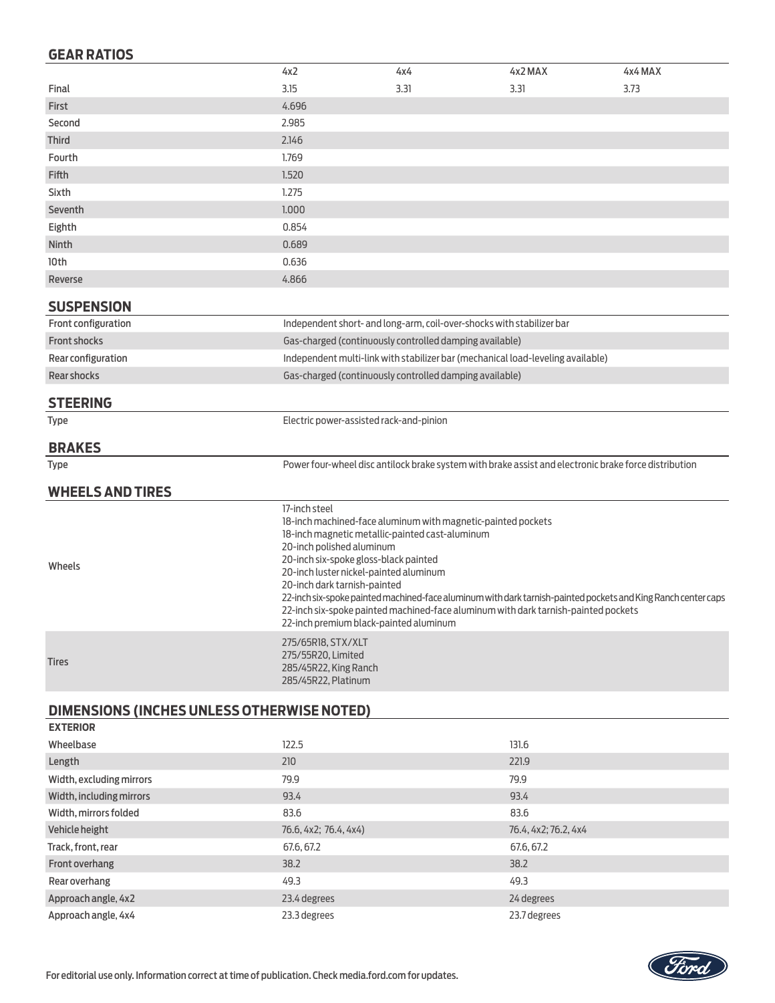## **GEAR RATIOS**

|                                                   | 4x2                                                                                                                                                                                                                                       | 4x4                                                                   | 4x2 MAX                                                                                                                                                                                             | 4x4 MAX |
|---------------------------------------------------|-------------------------------------------------------------------------------------------------------------------------------------------------------------------------------------------------------------------------------------------|-----------------------------------------------------------------------|-----------------------------------------------------------------------------------------------------------------------------------------------------------------------------------------------------|---------|
| Final                                             | 3.15                                                                                                                                                                                                                                      | 3.31                                                                  | 3.31                                                                                                                                                                                                | 3.73    |
| First                                             | 4.696                                                                                                                                                                                                                                     |                                                                       |                                                                                                                                                                                                     |         |
| Second                                            | 2.985                                                                                                                                                                                                                                     |                                                                       |                                                                                                                                                                                                     |         |
| <b>Third</b>                                      | 2.146                                                                                                                                                                                                                                     |                                                                       |                                                                                                                                                                                                     |         |
| Fourth                                            | 1.769                                                                                                                                                                                                                                     |                                                                       |                                                                                                                                                                                                     |         |
| <b>Fifth</b>                                      | 1.520                                                                                                                                                                                                                                     |                                                                       |                                                                                                                                                                                                     |         |
| Sixth                                             | 1.275                                                                                                                                                                                                                                     |                                                                       |                                                                                                                                                                                                     |         |
| Seventh                                           | 1.000                                                                                                                                                                                                                                     |                                                                       |                                                                                                                                                                                                     |         |
| Eighth                                            | 0.854                                                                                                                                                                                                                                     |                                                                       |                                                                                                                                                                                                     |         |
| Ninth                                             | 0.689                                                                                                                                                                                                                                     |                                                                       |                                                                                                                                                                                                     |         |
| 10th                                              | 0.636                                                                                                                                                                                                                                     |                                                                       |                                                                                                                                                                                                     |         |
| Reverse                                           | 4.866                                                                                                                                                                                                                                     |                                                                       |                                                                                                                                                                                                     |         |
| <b>SUSPENSION</b>                                 |                                                                                                                                                                                                                                           |                                                                       |                                                                                                                                                                                                     |         |
| Front configuration                               |                                                                                                                                                                                                                                           | Independent short- and long-arm, coil-over-shocks with stabilizer bar |                                                                                                                                                                                                     |         |
| <b>Front shocks</b>                               | Gas-charged (continuously controlled damping available)                                                                                                                                                                                   |                                                                       |                                                                                                                                                                                                     |         |
| Rear configuration                                | Independent multi-link with stabilizer bar (mechanical load-leveling available)                                                                                                                                                           |                                                                       |                                                                                                                                                                                                     |         |
| <b>Rear shocks</b>                                | Gas-charged (continuously controlled damping available)                                                                                                                                                                                   |                                                                       |                                                                                                                                                                                                     |         |
| <b>STEERING</b>                                   |                                                                                                                                                                                                                                           |                                                                       |                                                                                                                                                                                                     |         |
| <b>Type</b>                                       | Electric power-assisted rack-and-pinion                                                                                                                                                                                                   |                                                                       |                                                                                                                                                                                                     |         |
| <b>BRAKES</b>                                     |                                                                                                                                                                                                                                           |                                                                       |                                                                                                                                                                                                     |         |
| <b>Type</b>                                       |                                                                                                                                                                                                                                           |                                                                       | Power four-wheel disc antilock brake system with brake assist and electronic brake force distribution                                                                                               |         |
| <b>WHEELS AND TIRES</b>                           |                                                                                                                                                                                                                                           |                                                                       |                                                                                                                                                                                                     |         |
|                                                   | 17-inch steel                                                                                                                                                                                                                             |                                                                       |                                                                                                                                                                                                     |         |
| Wheels                                            | 18-inch magnetic metallic-painted cast-aluminum<br>20-inch polished aluminum<br>20-inch six-spoke gloss-black painted<br>20-inch luster nickel-painted aluminum<br>20-inch dark tarnish-painted<br>22-inch premium black-painted aluminum | 18-inch machined-face aluminum with magnetic-painted pockets          | 22-inch six-spoke painted machined-face aluminum with dark tarnish-painted pockets and King Ranch center caps<br>22-inch six-spoke painted machined-face aluminum with dark tarnish-painted pockets |         |
| <b>Tires</b>                                      | 275/65R18, STX/XLT<br>275/55R20, Limited<br>285/45R22, King Ranch<br>285/45R22, Platinum                                                                                                                                                  |                                                                       |                                                                                                                                                                                                     |         |
| <b>DIMENSIONS (INCHES UNLESS OTHERWISE NOTED)</b> |                                                                                                                                                                                                                                           |                                                                       |                                                                                                                                                                                                     |         |
| <b>EXTERIOR</b>                                   |                                                                                                                                                                                                                                           |                                                                       |                                                                                                                                                                                                     |         |
| Wheelbase                                         | 122.5                                                                                                                                                                                                                                     |                                                                       | 131.6                                                                                                                                                                                               |         |

| Wheelbase                | 122.5                 | 131.6                |
|--------------------------|-----------------------|----------------------|
| Length                   | 210                   | 221.9                |
| Width, excluding mirrors | 79.9                  | 79.9                 |
| Width, including mirrors | 93.4                  | 93.4                 |
| Width, mirrors folded    | 83.6                  | 83.6                 |
| Vehicle height           | 76.6, 4x2; 76.4, 4x4) | 76.4, 4x2; 76.2, 4x4 |
| Track, front, rear       | 67.6, 67.2            | 67.6, 67.2           |
| Front overhang           | 38.2                  | 38.2                 |
| Rear overhang            | 49.3                  | 49.3                 |
| Approach angle, 4x2      | 23.4 degrees          | 24 degrees           |
| Approach angle, 4x4      | 23.3 degrees          | 23.7 degrees         |